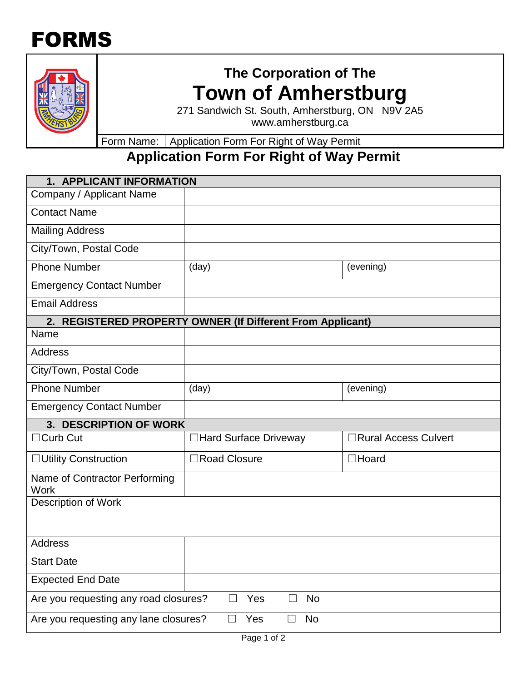## FORMS



## **The Corporation of The Town of Amherstburg**

271 Sandwich St. South, Amherstburg, ON N9V 2A5 www.amherstburg.ca

Form Name: Application Form For Right of Way Permit

## **Application Form For Right of Way Permit**

| 1. APPLICANT INFORMATION                                   |                        |                       |  |  |  |  |
|------------------------------------------------------------|------------------------|-----------------------|--|--|--|--|
| Company / Applicant Name                                   |                        |                       |  |  |  |  |
| <b>Contact Name</b>                                        |                        |                       |  |  |  |  |
| <b>Mailing Address</b>                                     |                        |                       |  |  |  |  |
| City/Town, Postal Code                                     |                        |                       |  |  |  |  |
| <b>Phone Number</b>                                        | (day)                  | (evening)             |  |  |  |  |
| <b>Emergency Contact Number</b>                            |                        |                       |  |  |  |  |
| <b>Email Address</b>                                       |                        |                       |  |  |  |  |
| 2. REGISTERED PROPERTY OWNER (If Different From Applicant) |                        |                       |  |  |  |  |
| Name                                                       |                        |                       |  |  |  |  |
| <b>Address</b>                                             |                        |                       |  |  |  |  |
| City/Town, Postal Code                                     |                        |                       |  |  |  |  |
| <b>Phone Number</b>                                        | (day)                  | (evening)             |  |  |  |  |
| <b>Emergency Contact Number</b>                            |                        |                       |  |  |  |  |
| 3. DESCRIPTION OF WORK                                     |                        |                       |  |  |  |  |
| $\Box$ Curb Cut                                            | □Hard Surface Driveway | □Rural Access Culvert |  |  |  |  |
| □ Utility Construction                                     | □Road Closure          | $\Box$ Hoard          |  |  |  |  |
| Name of Contractor Performing<br>Work                      |                        |                       |  |  |  |  |
| Description of Work                                        |                        |                       |  |  |  |  |
|                                                            |                        |                       |  |  |  |  |
| <b>Address</b>                                             |                        |                       |  |  |  |  |
| <b>Start Date</b>                                          |                        |                       |  |  |  |  |
| <b>Expected End Date</b>                                   |                        |                       |  |  |  |  |
| Yes<br>No<br>Are you requesting any road closures?         |                        |                       |  |  |  |  |
| Are you requesting any lane closures?<br>No<br>Yes         |                        |                       |  |  |  |  |